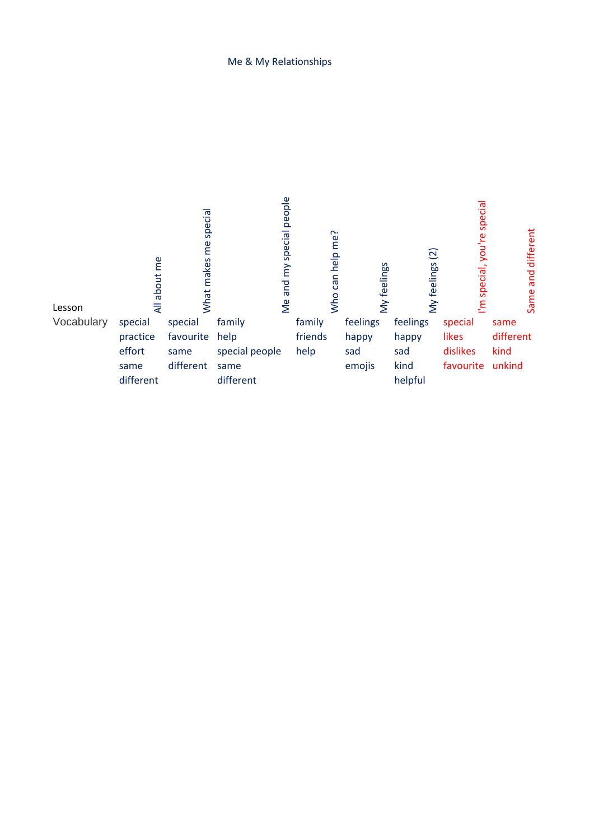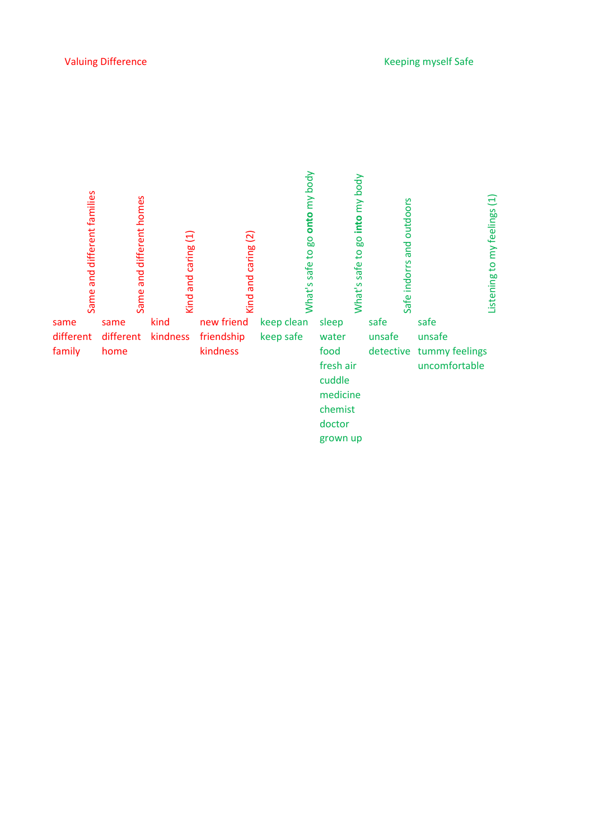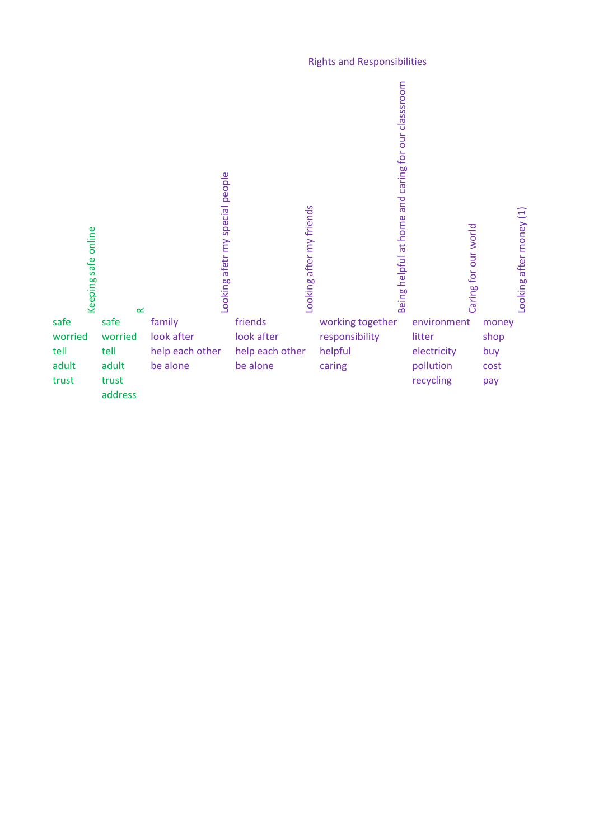## **Rights and Responsibilities**

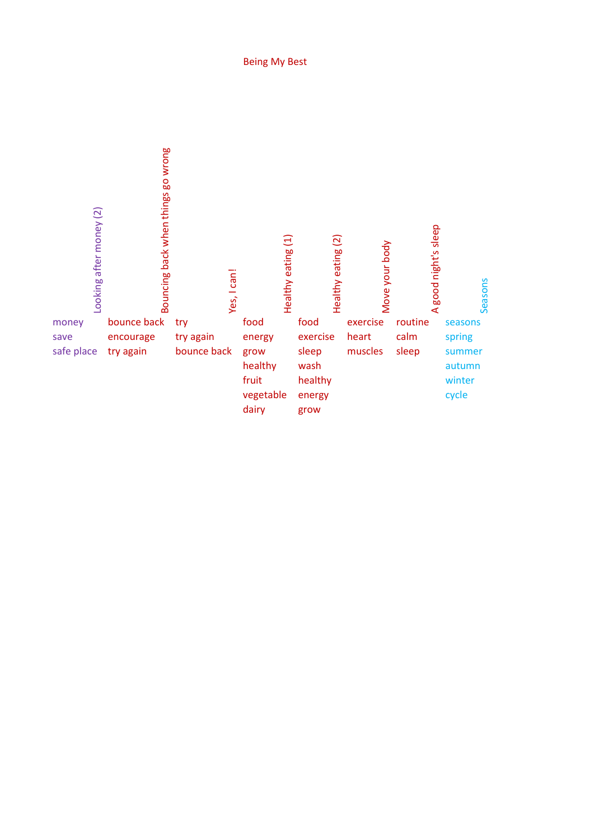